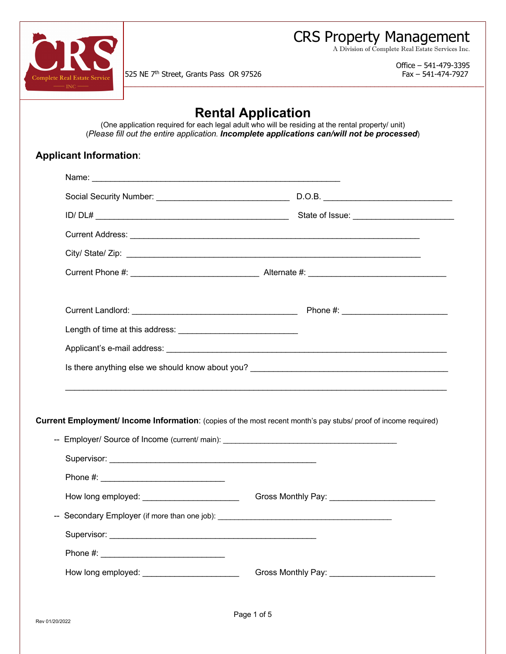CRS Property Management

A Division of Complete Real Estate Services Inc.



525 NE 7<sup>th</sup> Street, Grants Pass OR 97526 Fax – 541-474-7927

j

Office – 541-479-3395

## **Rental Application**

(One application required for each legal adult who will be residing at the rental property/ unit) (*Please fill out the entire application. Incomplete applications can/will not be processed*)

## **Applicant Information**: Name: Social Security Number: \_\_\_\_\_\_\_\_\_\_\_\_\_\_\_\_\_\_\_\_\_\_\_\_\_\_\_\_\_ D.O.B. \_\_\_\_\_\_\_\_\_\_\_\_\_\_\_\_\_\_\_\_\_\_\_\_\_\_\_\_ ID/ DL# \_\_\_\_\_\_\_\_\_\_\_\_\_\_\_\_\_\_\_\_\_\_\_\_\_\_\_\_\_\_\_\_\_\_\_\_\_\_\_\_\_\_ State of Issue: \_\_\_\_\_\_\_\_\_\_\_\_\_\_\_\_\_\_\_\_\_\_ Current Address: **Example 20** and 20 and 20 and 20 and 20 and 20 and 20 and 20 and 20 and 20 and 20 and 20 and 20 and 20 and 20 and 20 and 20 and 20 and 20 and 20 and 20 and 20 and 20 and 20 and 20 and 20 and 20 and 20 and City/ State/ Zip: \_\_\_\_\_\_\_\_\_\_\_\_\_\_\_\_\_\_\_\_\_\_\_\_\_\_\_\_\_\_\_\_\_\_\_\_\_\_\_\_\_\_\_\_\_\_\_\_\_\_\_\_\_\_\_\_\_\_\_\_\_\_\_\_ Current Phone #: \_\_\_\_\_\_\_\_\_\_\_\_\_\_\_\_\_\_\_\_\_\_\_\_\_\_\_\_ Alternate #: \_\_\_\_\_\_\_\_\_\_\_\_\_\_\_\_\_\_\_\_\_\_\_\_\_\_\_\_\_\_ Current Landlord: etc. and the contract of the contract of the Phone #: \_\_\_\_\_\_\_\_\_ Length of time at this address: \_\_\_\_\_\_\_\_\_\_\_\_\_\_\_\_\_\_\_\_\_\_\_\_\_\_ Applicant's e-mail address: \_\_\_\_\_\_\_\_\_\_\_\_\_\_\_\_\_\_\_\_\_\_\_\_\_\_\_\_\_\_\_\_\_\_\_\_\_\_\_\_\_\_\_\_\_\_\_\_\_\_\_\_\_\_\_\_\_\_\_\_\_ Is there anything else we should know about you? \_\_\_\_\_\_\_\_\_\_\_\_\_\_\_\_\_\_\_\_\_\_\_\_\_\_\_\_\_\_\_\_ \_\_\_\_\_\_\_\_\_\_\_\_\_\_\_\_\_\_\_\_\_\_\_\_\_\_\_\_\_\_\_\_\_\_\_\_\_\_\_\_\_\_\_\_\_\_\_\_\_\_\_\_\_\_\_\_\_\_\_\_\_\_\_\_\_\_\_\_\_\_\_\_\_\_\_\_\_\_\_\_\_\_\_ **Current Employment/ Income Information**: (copies of the most recent month's pay stubs/ proof of income required) -- Employer/ Source of Income (current/ main): \_\_\_\_\_\_\_\_\_\_\_\_\_\_\_\_\_\_\_\_\_\_\_\_\_\_\_\_\_\_\_\_\_ Supervisor: \_\_\_\_\_\_\_\_\_\_\_\_\_\_\_\_\_\_\_\_\_\_\_\_\_\_\_\_\_\_\_\_\_\_\_\_\_\_\_\_\_\_\_\_\_

Phone #: How long employed: \_\_\_\_\_\_\_\_\_\_\_\_\_\_\_\_\_\_\_\_\_\_\_\_\_\_\_Gross Monthly Pay: \_\_\_\_\_\_\_\_\_\_\_\_\_\_\_ -- Secondary Employer (if more than one job): \_\_\_\_\_\_\_\_\_\_\_\_\_\_\_\_\_\_\_\_\_\_\_\_\_\_\_\_\_\_\_\_\_\_ Supervisor: \_\_\_\_\_\_\_\_\_\_\_\_\_\_\_\_\_\_\_\_\_\_\_\_\_\_\_\_\_\_\_\_\_\_\_\_\_\_\_\_\_\_\_\_\_ Phone #: \_\_\_\_\_\_\_\_\_\_\_\_\_\_\_\_\_\_\_\_\_\_\_\_\_\_\_ How long employed: etc. and a Gross Monthly Pay: Etc. and a Gross Monthly Pay: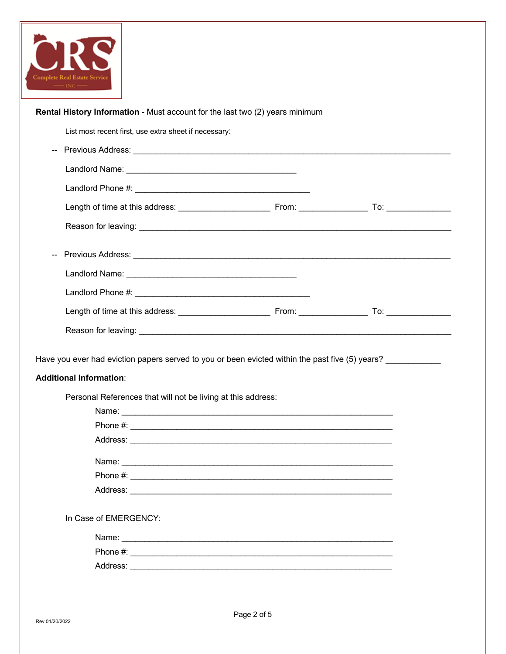

| Rental History Information - Must account for the last two (2) years minimum                                                                                                                                                                              |  |
|-----------------------------------------------------------------------------------------------------------------------------------------------------------------------------------------------------------------------------------------------------------|--|
| List most recent first, use extra sheet if necessary:                                                                                                                                                                                                     |  |
| Previous Address: Universe of the Contract of the Contract of the Contract of the Contract of the Contract of the Contract of the Contract of the Contract of the Contract of the Contract of the Contract of the Contract of<br>$\overline{\phantom{a}}$ |  |
|                                                                                                                                                                                                                                                           |  |
|                                                                                                                                                                                                                                                           |  |
|                                                                                                                                                                                                                                                           |  |
|                                                                                                                                                                                                                                                           |  |
| --                                                                                                                                                                                                                                                        |  |
|                                                                                                                                                                                                                                                           |  |
|                                                                                                                                                                                                                                                           |  |
|                                                                                                                                                                                                                                                           |  |
|                                                                                                                                                                                                                                                           |  |
| Have you ever had eviction papers served to you or been evicted within the past five (5) years?                                                                                                                                                           |  |
| Personal References that will not be living at this address:                                                                                                                                                                                              |  |
|                                                                                                                                                                                                                                                           |  |
| Name: 2008. 2008. 2010. 2010. 2010. 2010. 2010. 2010. 2010. 2010. 2010. 2010. 2010. 2010. 2010. 2010. 2010. 20                                                                                                                                            |  |
| In Case of EMERGENCY:                                                                                                                                                                                                                                     |  |
| <b>Additional Information:</b>                                                                                                                                                                                                                            |  |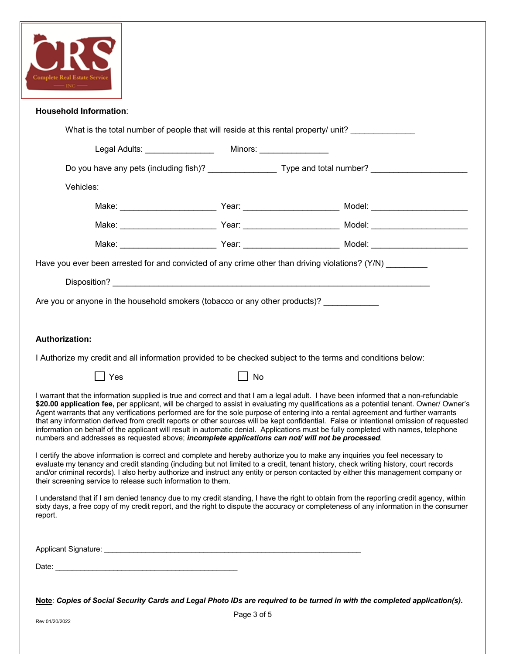

| <b>Household Information:</b>                                                                                                                                                                                                                                                                                                                                                                                                                                                                                                                                                                                                                                                                                                                                                                             |    |                                                                                                            |  |  |
|-----------------------------------------------------------------------------------------------------------------------------------------------------------------------------------------------------------------------------------------------------------------------------------------------------------------------------------------------------------------------------------------------------------------------------------------------------------------------------------------------------------------------------------------------------------------------------------------------------------------------------------------------------------------------------------------------------------------------------------------------------------------------------------------------------------|----|------------------------------------------------------------------------------------------------------------|--|--|
| What is the total number of people that will reside at this rental property/ unit?                                                                                                                                                                                                                                                                                                                                                                                                                                                                                                                                                                                                                                                                                                                        |    |                                                                                                            |  |  |
|                                                                                                                                                                                                                                                                                                                                                                                                                                                                                                                                                                                                                                                                                                                                                                                                           |    |                                                                                                            |  |  |
|                                                                                                                                                                                                                                                                                                                                                                                                                                                                                                                                                                                                                                                                                                                                                                                                           |    | Do you have any pets (including fish)? ____________________ Type and total number? _______________________ |  |  |
| Vehicles:                                                                                                                                                                                                                                                                                                                                                                                                                                                                                                                                                                                                                                                                                                                                                                                                 |    |                                                                                                            |  |  |
|                                                                                                                                                                                                                                                                                                                                                                                                                                                                                                                                                                                                                                                                                                                                                                                                           |    |                                                                                                            |  |  |
|                                                                                                                                                                                                                                                                                                                                                                                                                                                                                                                                                                                                                                                                                                                                                                                                           |    |                                                                                                            |  |  |
|                                                                                                                                                                                                                                                                                                                                                                                                                                                                                                                                                                                                                                                                                                                                                                                                           |    |                                                                                                            |  |  |
| Have you ever been arrested for and convicted of any crime other than driving violations? (Y/N) _________                                                                                                                                                                                                                                                                                                                                                                                                                                                                                                                                                                                                                                                                                                 |    |                                                                                                            |  |  |
|                                                                                                                                                                                                                                                                                                                                                                                                                                                                                                                                                                                                                                                                                                                                                                                                           |    |                                                                                                            |  |  |
| Are you or anyone in the household smokers (tobacco or any other products)? ___________                                                                                                                                                                                                                                                                                                                                                                                                                                                                                                                                                                                                                                                                                                                   |    |                                                                                                            |  |  |
|                                                                                                                                                                                                                                                                                                                                                                                                                                                                                                                                                                                                                                                                                                                                                                                                           |    |                                                                                                            |  |  |
| <b>Authorization:</b>                                                                                                                                                                                                                                                                                                                                                                                                                                                                                                                                                                                                                                                                                                                                                                                     |    |                                                                                                            |  |  |
| I Authorize my credit and all information provided to be checked subject to the terms and conditions below:                                                                                                                                                                                                                                                                                                                                                                                                                                                                                                                                                                                                                                                                                               |    |                                                                                                            |  |  |
| Yes                                                                                                                                                                                                                                                                                                                                                                                                                                                                                                                                                                                                                                                                                                                                                                                                       | No |                                                                                                            |  |  |
| I warrant that the information supplied is true and correct and that I am a legal adult. I have been informed that a non-refundable<br>\$20.00 application fee, per applicant, will be charged to assist in evaluating my qualifications as a potential tenant. Owner/ Owner's<br>Agent warrants that any verifications performed are for the sole purpose of entering into a rental agreement and further warrants<br>that any information derived from credit reports or other sources will be kept confidential. False or intentional omission of requested<br>information on behalf of the applicant will result in automatic denial. Applications must be fully completed with names, telephone<br>numbers and addresses as requested above; incomplete applications can not/ will not be processed. |    |                                                                                                            |  |  |
| I certify the above information is correct and complete and hereby authorize you to make any inquiries you feel necessary to<br>evaluate my tenancy and credit standing (including but not limited to a credit, tenant history, check writing history, court records<br>and/or criminal records). I also herby authorize and instruct any entity or person contacted by either this management company or<br>their screening service to release such information to them.                                                                                                                                                                                                                                                                                                                                 |    |                                                                                                            |  |  |
| I understand that if I am denied tenancy due to my credit standing, I have the right to obtain from the reporting credit agency, within<br>sixty days, a free copy of my credit report, and the right to dispute the accuracy or completeness of any information in the consumer<br>report.                                                                                                                                                                                                                                                                                                                                                                                                                                                                                                               |    |                                                                                                            |  |  |
|                                                                                                                                                                                                                                                                                                                                                                                                                                                                                                                                                                                                                                                                                                                                                                                                           |    |                                                                                                            |  |  |
|                                                                                                                                                                                                                                                                                                                                                                                                                                                                                                                                                                                                                                                                                                                                                                                                           |    |                                                                                                            |  |  |
|                                                                                                                                                                                                                                                                                                                                                                                                                                                                                                                                                                                                                                                                                                                                                                                                           |    |                                                                                                            |  |  |

**Note**: *Copies of Social Security Cards and Legal Photo IDs are required to be turned in with the completed application(s).*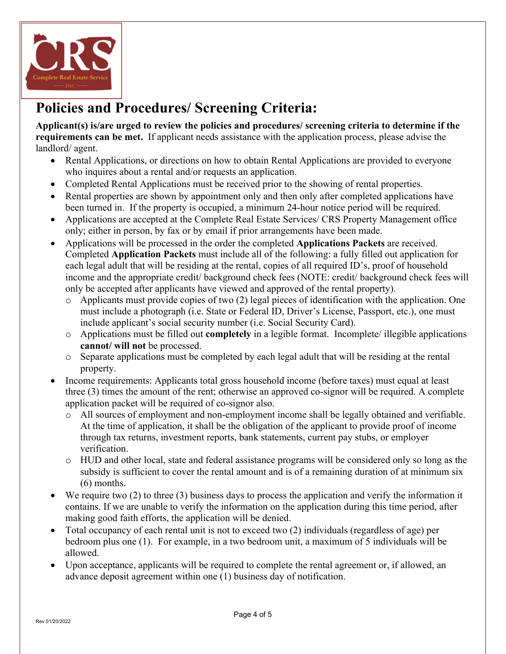

## **Policies and Procedures/ Screening Criteria:**

**Applicant(s) is/are urged to review the policies and procedures/ screening criteria to determine if the requirements can be met.** If applicant needs assistance with the application process, please advise the landlord/ agent.

- Rental Applications, or directions on how to obtain Rental Applications are provided to everyone who inquires about a rental and/or requests an application.
- Completed Rental Applications must be received prior to the showing of rental properties.
- Rental properties are shown by appointment only and then only after completed applications have been turned in. If the property is occupied, a minimum 24-hour notice period will be required.
- Applications are accepted at the Complete Real Estate Services/ CRS Property Management office only; either in person, by fax or by email if prior arrangements have been made.
- Applications will be processed in the order the completed **Applications Packets** are received. Completed **Application Packets** must include all of the following: a fully filled out application for each legal adult that will be residing at the rental, copies of all required ID's, proof of household income and the appropriate credit/ background check fees (NOTE: credit/ background check fees will only be accepted after applicants have viewed and approved of the rental property).
	- o Applicants must provide copies of two (2) legal pieces of identification with the application. One must include a photograph (i.e. State or Federal ID, Driver's License, Passport, etc.), one must include applicant's social security number (i.e. Social Security Card).
	- o Applications must be filled out **completely** in a legible format. Incomplete/ illegible applications **cannot/ will not** be processed.
	- $\circ$  Separate applications must be completed by each legal adult that will be residing at the rental property.
- Income requirements: Applicants total gross household income (before taxes) must equal at least three (3) times the amount of the rent; otherwise an approved co-signor will be required. A complete application packet will be required of co-signor also.
	- o All sources of employment and non-employment income shall be legally obtained and verifiable. At the time of application, it shall be the obligation of the applicant to provide proof of income through tax returns, investment reports, bank statements, current pay stubs, or employer verification.
	- o HUD and other local, state and federal assistance programs will be considered only so long as the subsidy is sufficient to cover the rental amount and is of a remaining duration of at minimum six (6) months.
- We require two (2) to three (3) business days to process the application and verify the information it contains. If we are unable to verify the information on the application during this time period, after making good faith efforts, the application will be denied.
- Total occupancy of each rental unit is not to exceed two (2) individuals (regardless of age) per bedroom plus one (1). For example, in a two bedroom unit, a maximum of 5 individuals will be allowed.
- Upon acceptance, applicants will be required to complete the rental agreement or, if allowed, an advance deposit agreement within one (1) business day of notification.